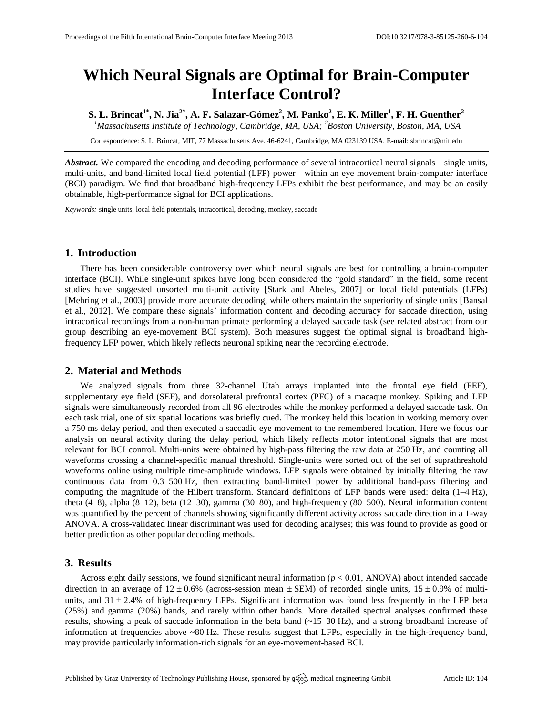# **Which Neural Signals are Optimal for Brain-Computer Interface Control?**

**S. L. Brincat1\* , N. Jia2\* , A. F. Salazar-Gómez<sup>2</sup> , M. Panko<sup>2</sup> , E. K. Miller<sup>1</sup> , F. H. Guenther<sup>2</sup>** *<sup>1</sup>Massachusetts Institute of Technology, Cambridge, MA, USA; <sup>2</sup>Boston University, Boston, MA, USA*

Correspondence: S. L. Brincat, MIT, 77 Massachusetts Ave. 46-6241, Cambridge, MA 023139 USA. E-mail[: sbrincat@mit.edu](mailto:sbrincat@mit.edu)

*Abstract.* We compared the encoding and decoding performance of several intracortical neural signals—single units, multi-units, and band-limited local field potential (LFP) power—within an eye movement brain-computer interface (BCI) paradigm. We find that broadband high-frequency LFPs exhibit the best performance, and may be an easily obtainable, high-performance signal for BCI applications.

*Keywords:* single units, local field potentials, intracortical, decoding, monkey, saccade

## **1. Introduction**

There has been considerable controversy over which neural signals are best for controlling a brain-computer interface (BCI). While single-unit spikes have long been considered the "gold standard" in the field, some recent studies have suggested unsorted multi-unit activity [Stark and Abeles, 2007] or local field potentials (LFPs) [Mehring et al., 2003] provide more accurate decoding, while others maintain the superiority of single units [Bansal et al., 2012]. We compare these signals' information content and decoding accuracy for saccade direction, using intracortical recordings from a non-human primate performing a delayed saccade task (see related abstract from our group describing an eye-movement BCI system). Both measures suggest the optimal signal is broadband highfrequency LFP power, which likely reflects neuronal spiking near the recording electrode.

## **2. Material and Methods**

We analyzed signals from three 32-channel Utah arrays implanted into the frontal eye field (FEF), supplementary eye field (SEF), and dorsolateral prefrontal cortex (PFC) of a macaque monkey. Spiking and LFP signals were simultaneously recorded from all 96 electrodes while the monkey performed a delayed saccade task. On each task trial, one of six spatial locations was briefly cued. The monkey held this location in working memory over a 750 ms delay period, and then executed a saccadic eye movement to the remembered location. Here we focus our analysis on neural activity during the delay period, which likely reflects motor intentional signals that are most relevant for BCI control. Multi-units were obtained by high-pass filtering the raw data at 250 Hz, and counting all waveforms crossing a channel-specific manual threshold. Single-units were sorted out of the set of suprathreshold waveforms online using multiple time-amplitude windows. LFP signals were obtained by initially filtering the raw continuous data from 0.3–500 Hz, then extracting band-limited power by additional band-pass filtering and computing the magnitude of the Hilbert transform. Standard definitions of LFP bands were used: delta (1–4 Hz), theta (4–8), alpha (8–12), beta (12–30), gamma (30–80), and high-frequency (80–500). Neural information content was quantified by the percent of channels showing significantly different activity across saccade direction in a 1-way ANOVA. A cross-validated linear discriminant was used for decoding analyses; this was found to provide as good or better prediction as other popular decoding methods.

## **3. Results**

Across eight daily sessions, we found significant neural information  $(p < 0.01, ANOVA)$  about intended saccade direction in an average of  $12 \pm 0.6\%$  (across-session mean  $\pm$  SEM) of recorded single units,  $15 \pm 0.9\%$  of multiunits, and  $31 \pm 2.4\%$  of high-frequency LFPs. Significant information was found less frequently in the LFP beta (25%) and gamma (20%) bands, and rarely within other bands. More detailed spectral analyses confirmed these results, showing a peak of saccade information in the beta band (~15–30 Hz), and a strong broadband increase of information at frequencies above ~80 Hz. These results suggest that LFPs, especially in the high-frequency band, may provide particularly information-rich signals for an eye-movement-based BCI.